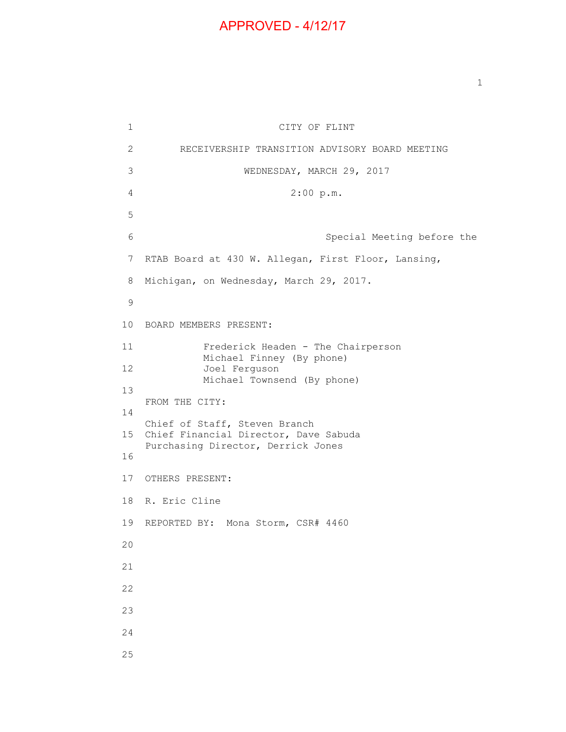## APPROVED - 4/12/17

 $\mathbf{1}$  $\overline{2}$ 3 6 7 RTAB Board at 430 W. Allegan, First Floor, Lansing, 8 CITY OF FLINT 2 RECEIVERSHIP TRANSITION ADVISORY BOARD MEETING 3 WEDNESDAY, MARCH 29, 2017 4 2:00 p.m. 5 Special Meeting before the Michigan, on Wednesday, March 29, 2017. 9 10 BOARD MEMBERS PRESENT: 11 Frederick Headen - The Chairperson Michael Finney (By phone) 12 Joel Ferguson Michael Townsend (By phone) 13 FROM THE CITY: 14 Chief of Staff, Steven Branch 15 Chief Financial Director, Dave Sabuda Purchasing Director, Derrick Jones 16 17 OTHERS PRESENT: 18 R. Eric Cline 19 REPORTED BY: Mona Storm, CSR# 4460 20 21 22 23 24 25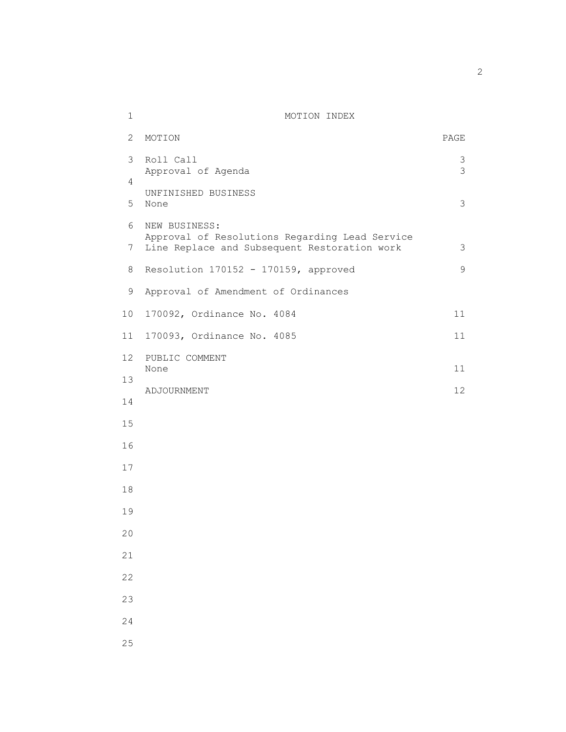## 1 MOTION INDEX

| 2                   | MOTION                                                                                                          | PAGE               |
|---------------------|-----------------------------------------------------------------------------------------------------------------|--------------------|
| 3                   | Roll Call<br>Approval of Agenda                                                                                 | 3<br>$\mathcal{S}$ |
| 4                   | UNFINISHED BUSINESS                                                                                             |                    |
| 5                   | None                                                                                                            | 3                  |
| 6<br>$\overline{7}$ | NEW BUSINESS:<br>Approval of Resolutions Regarding Lead Service<br>Line Replace and Subsequent Restoration work | 3                  |
| 8                   | Resolution 170152 - 170159, approved                                                                            | 9                  |
|                     |                                                                                                                 |                    |
| 9                   | Approval of Amendment of Ordinances                                                                             |                    |
| 10                  | 170092, Ordinance No. 4084                                                                                      | 11                 |
| 11                  | 170093, Ordinance No. 4085                                                                                      | 11                 |
| 12                  | PUBLIC COMMENT                                                                                                  |                    |
| 13                  | None                                                                                                            | 11                 |
| 14                  | ADJOURNMENT                                                                                                     | 12                 |
| 15                  |                                                                                                                 |                    |
|                     |                                                                                                                 |                    |
| 16                  |                                                                                                                 |                    |
| 17                  |                                                                                                                 |                    |
| 18                  |                                                                                                                 |                    |
| 19                  |                                                                                                                 |                    |
| 20                  |                                                                                                                 |                    |
| 21                  |                                                                                                                 |                    |
| 22                  |                                                                                                                 |                    |
|                     |                                                                                                                 |                    |
| 23                  |                                                                                                                 |                    |
| 24                  |                                                                                                                 |                    |
| 25                  |                                                                                                                 |                    |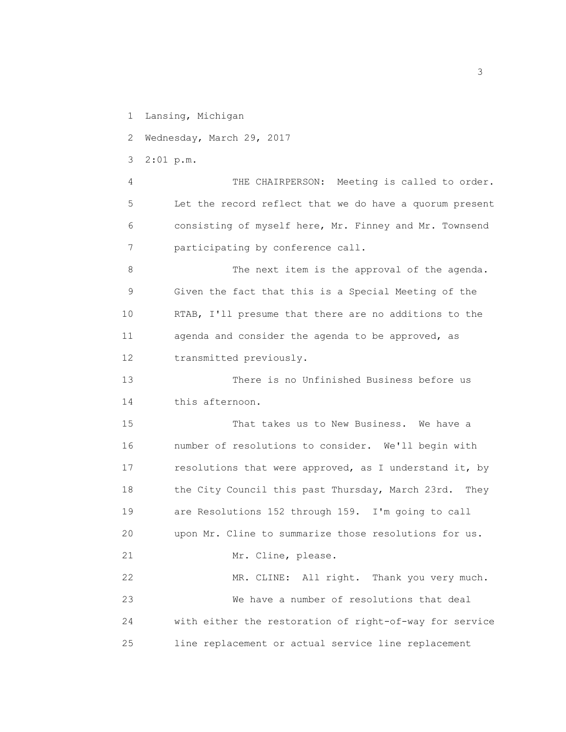1 Lansing, Michigan

2 Wednesday, March 29, 2017

3 2:01 p.m.

 4 THE CHAIRPERSON: Meeting is called to order. 5 Let the record reflect that we do have a quorum present 6 consisting of myself here, Mr. Finney and Mr. Townsend 7 participating by conference call.

 8 The next item is the approval of the agenda. 9 Given the fact that this is a Special Meeting of the 10 RTAB, I'll presume that there are no additions to the 11 agenda and consider the agenda to be approved, as 12 transmitted previously.

 13 There is no Unfinished Business before us 14 this afternoon.

 15 That takes us to New Business. We have a 16 number of resolutions to consider. We'll begin with 17 resolutions that were approved, as I understand it, by 18 the City Council this past Thursday, March 23rd. They 19 are Resolutions 152 through 159. I'm going to call 20 upon Mr. Cline to summarize those resolutions for us. 21 Mr. Cline, please.

 22 MR. CLINE: All right. Thank you very much. 23 We have a number of resolutions that deal 24 with either the restoration of right-of-way for service 25 line replacement or actual service line replacement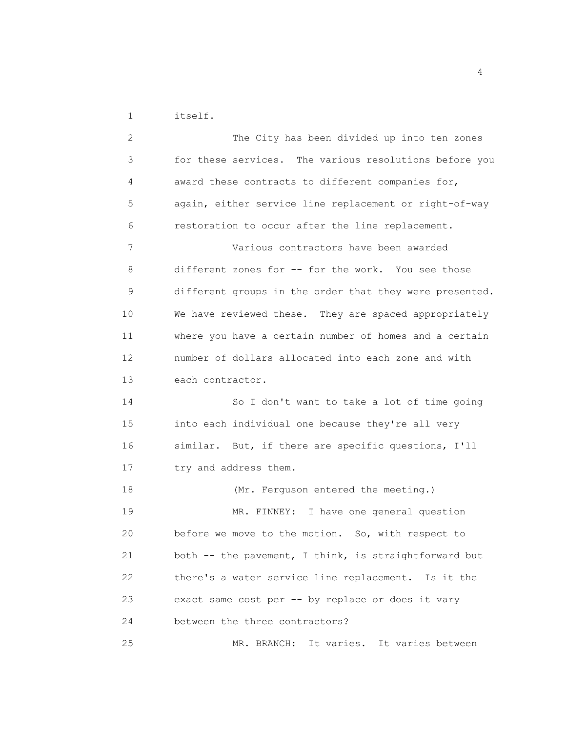1 itself.

 2 The City has been divided up into ten zones 3 for these services. The various resolutions before you 4 award these contracts to different companies for, 5 again, either service line replacement or right-of-way 6 restoration to occur after the line replacement. 7 Various contractors have been awarded 8 different zones for -- for the work. You see those 9 different groups in the order that they were presented. 10 We have reviewed these. They are spaced appropriately 11 where you have a certain number of homes and a certain 12 number of dollars allocated into each zone and with 13 each contractor. 14 So I don't want to take a lot of time going 15 into each individual one because they're all very 16 similar. But, if there are specific questions, I'll 17 try and address them. 18 (Mr. Ferguson entered the meeting.) 19 MR. FINNEY: I have one general question 20 before we move to the motion. So, with respect to 21 both -- the pavement, I think, is straightforward but 22 there's a water service line replacement. Is it the 23 exact same cost per -- by replace or does it vary 24 between the three contractors? 25 MR. BRANCH: It varies. It varies between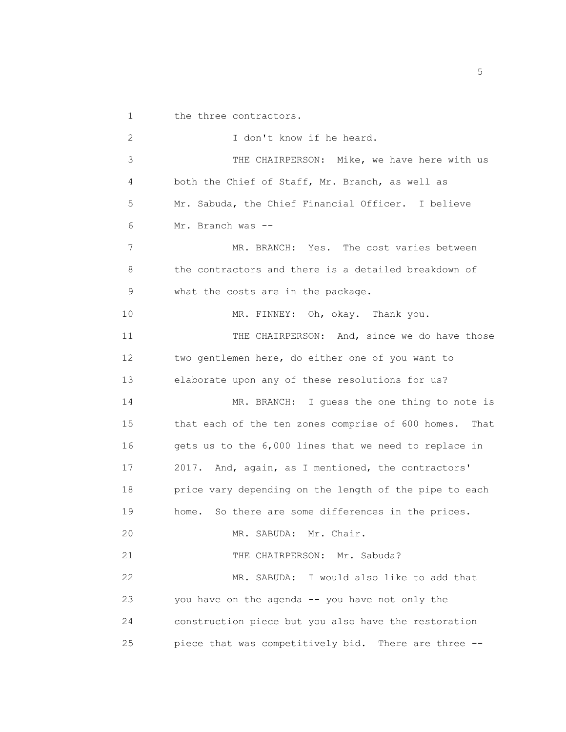1 the three contractors. 2 I don't know if he heard. 3 THE CHAIRPERSON: Mike, we have here with us 4 both the Chief of Staff, Mr. Branch, as well as 5 Mr. Sabuda, the Chief Financial Officer. I believe 6 Mr. Branch was -- 7 MR. BRANCH: Yes. The cost varies between 8 the contractors and there is a detailed breakdown of 9 what the costs are in the package. 10 MR. FINNEY: Oh, okay. Thank you. 11 THE CHAIRPERSON: And, since we do have those 12 two gentlemen here, do either one of you want to 13 elaborate upon any of these resolutions for us? 14 MR. BRANCH: I guess the one thing to note is 15 that each of the ten zones comprise of 600 homes. That 16 gets us to the 6,000 lines that we need to replace in 17 2017. And, again, as I mentioned, the contractors' 18 **price vary depending on the length of the pipe to each**  19 home. So there are some differences in the prices. 20 MR. SABUDA: Mr. Chair. 21 THE CHAIRPERSON: Mr. Sabuda? 22 MR. SABUDA: I would also like to add that 23 you have on the agenda -- you have not only the 24 construction piece but you also have the restoration 25 piece that was competitively bid. There are three --

<u>5</u> September 2014 and 2014 and 2014 and 2014 and 2014 and 2014 and 2014 and 2014 and 2014 and 2014 and 2014 and 2014 and 2014 and 2014 and 2014 and 2014 and 2014 and 2014 and 2014 and 2014 and 2014 and 2014 and 2014 and 2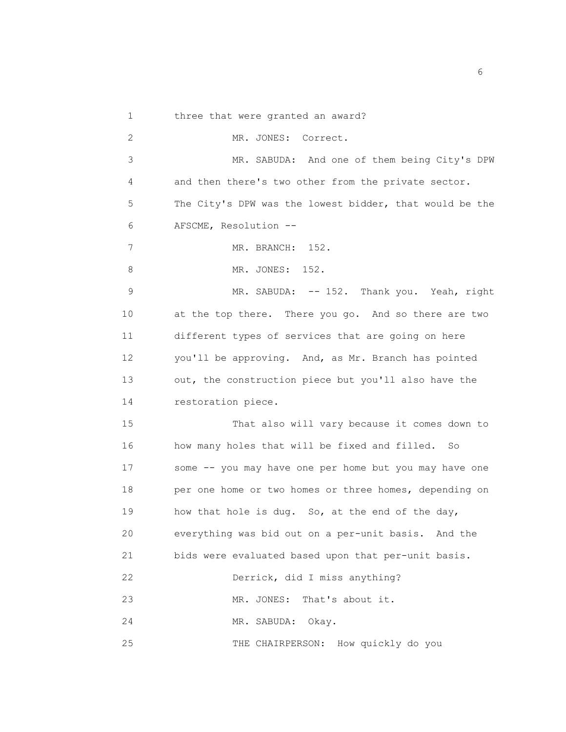1 three that were granted an award?

 2 MR. JONES: Correct. 3 MR. SABUDA: And one of them being City's DPW 4 and then there's two other from the private sector. 5 The City's DPW was the lowest bidder, that would be the 6 AFSCME, Resolution -- 7 MR. BRANCH: 152. 8 MR. JONES: 152. 9 MR. SABUDA: -- 152. Thank you. Yeah, right 10 at the top there. There you go. And so there are two 11 different types of services that are going on here 12 you'll be approving. And, as Mr. Branch has pointed

 13 out, the construction piece but you'll also have the 14 restoration piece.

 15 That also will vary because it comes down to 16 how many holes that will be fixed and filled. So 17 some -- you may have one per home but you may have one 18 per one home or two homes or three homes, depending on 19 how that hole is dug. So, at the end of the day, 20 everything was bid out on a per-unit basis. And the 21 bids were evaluated based upon that per-unit basis. 22 Derrick, did I miss anything? 23 MR. JONES: That's about it.

24 MR. SABUDA: Okay.

25 THE CHAIRPERSON: How quickly do you

 $\sim$  6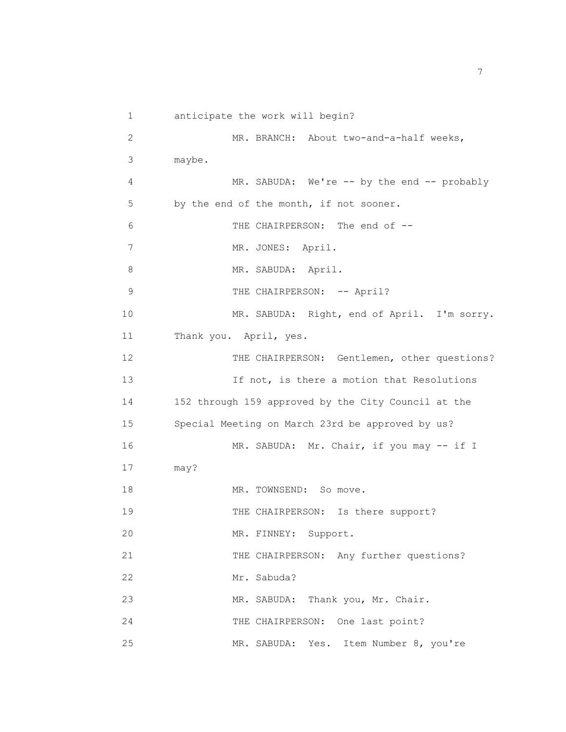1 anticipate the work will begin? 2 MR. BRANCH: About two-and-a-half weeks, 3 maybe. 4 MR. SABUDA: We're -- by the end -- probably 5 by the end of the month, if not sooner. 6 THE CHAIRPERSON: The end of -- 7 MR. JONES: April. 8 MR. SABUDA: April. 9 THE CHAIRPERSON: -- April? 10 MR. SABUDA: Right, end of April. I'm sorry. 11 Thank you. April, yes. 12 THE CHAIRPERSON: Gentlemen, other questions? 13 If not, is there a motion that Resolutions 14 152 through 159 approved by the City Council at the 15 Special Meeting on March 23rd be approved by us? 16 MR. SABUDA: Mr. Chair, if you may -- if I 17 may? 18 MR. TOWNSEND: So move. 19 THE CHAIRPERSON: Is there support? 20 MR. FINNEY: Support. 21 THE CHAIRPERSON: Any further questions? 22 Mr. Sabuda? 23 MR. SABUDA: Thank you, Mr. Chair. 24 THE CHAIRPERSON: One last point? 25 MR. SABUDA: Yes. Item Number 8, you're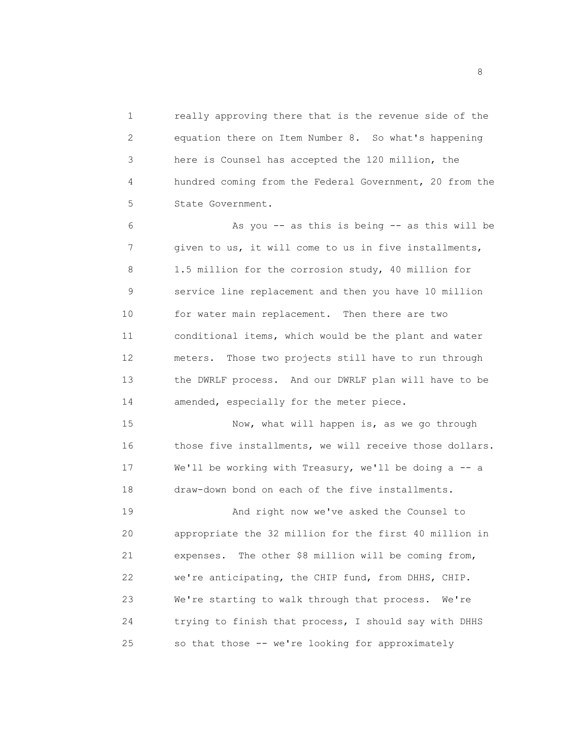1 really approving there that is the revenue side of the 2 equation there on Item Number 8. So what's happening 3 here is Counsel has accepted the 120 million, the 4 hundred coming from the Federal Government, 20 from the 5 State Government.

 6 As you -- as this is being -- as this will be 7 given to us, it will come to us in five installments, 8 1.5 million for the corrosion study, 40 million for 9 service line replacement and then you have 10 million 10 for water main replacement. Then there are two 11 conditional items, which would be the plant and water 12 meters. Those two projects still have to run through 13 the DWRLF process. And our DWRLF plan will have to be 14 amended, especially for the meter piece.

 15 Now, what will happen is, as we go through 16 those five installments, we will receive those dollars. 17 We'll be working with Treasury, we'll be doing a -- a 18 draw-down bond on each of the five installments.

19 And right now we've asked the Counsel to 20 appropriate the 32 million for the first 40 million in 21 expenses. The other \$8 million will be coming from, 22 we're anticipating, the CHIP fund, from DHHS, CHIP. 23 We're starting to walk through that process. We're 24 trying to finish that process, I should say with DHHS 25 so that those -- we're looking for approximately

en andere de la provincia de la provincia de la provincia de la provincia de la provincia de la provincia del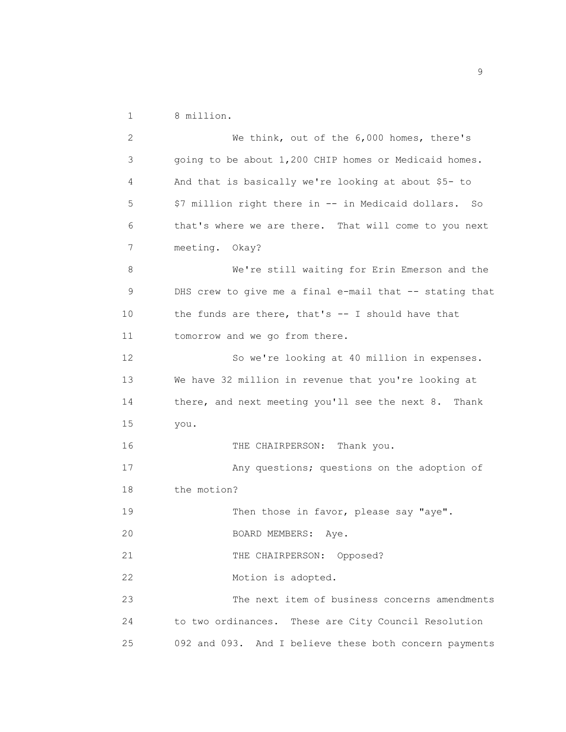1 8 million.

 2 We think, out of the 6,000 homes, there's 3 going to be about 1,200 CHIP homes or Medicaid homes. 4 And that is basically we're looking at about \$5- to 5 \$7 million right there in -- in Medicaid dollars. So 6 that's where we are there. That will come to you next 7 meeting. Okay? 8 We're still waiting for Erin Emerson and the 9 DHS crew to give me a final e-mail that -- stating that 10 the funds are there, that's -- I should have that 11 tomorrow and we go from there. 12 So we're looking at 40 million in expenses. 13 We have 32 million in revenue that you're looking at 14 there, and next meeting you'll see the next 8. Thank 15 you. 16 THE CHAIRPERSON: Thank you. 17 Any questions; questions on the adoption of 18 the motion? 19 Then those in favor, please say "aye". 20 BOARD MEMBERS: Aye. 21 THE CHAIRPERSON: Opposed? 22 Motion is adopted. 23 The next item of business concerns amendments 24 to two ordinances. These are City Council Resolution 25 092 and 093. And I believe these both concern payments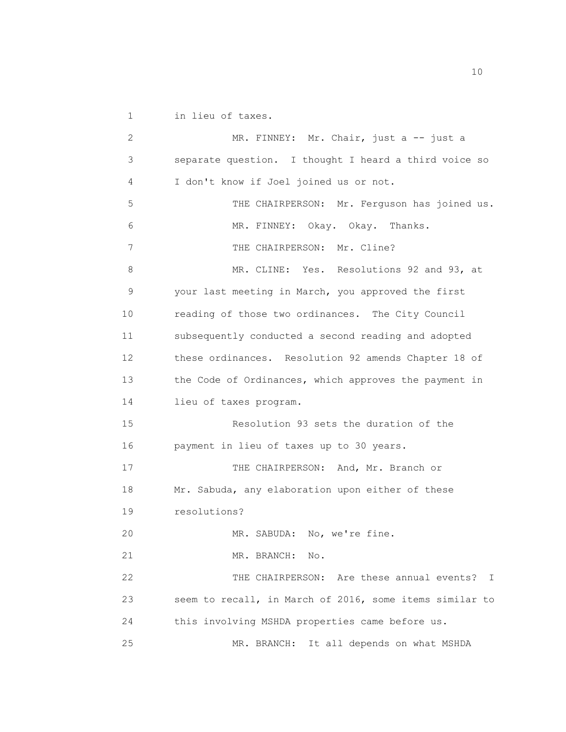1 in lieu of taxes.

2 MR. FINNEY: Mr. Chair, just a -- just a 3 separate question. I thought I heard a third voice so 4 I don't know if Joel joined us or not. 5 THE CHAIRPERSON: Mr. Ferguson has joined us. 6 MR. FINNEY: Okay. Okay. Thanks. 7 THE CHAIRPERSON: Mr. Cline? 8 MR. CLINE: Yes. Resolutions 92 and 93, at 9 your last meeting in March, you approved the first 10 reading of those two ordinances. The City Council 11 subsequently conducted a second reading and adopted 12 these ordinances. Resolution 92 amends Chapter 18 of 13 the Code of Ordinances, which approves the payment in 14 lieu of taxes program. 15 Resolution 93 sets the duration of the 16 payment in lieu of taxes up to 30 years. 17 THE CHAIRPERSON: And, Mr. Branch or 18 Mr. Sabuda, any elaboration upon either of these 19 resolutions? 20 MR. SABUDA: No, we're fine. 21 MR. BRANCH: No. 22 THE CHAIRPERSON: Are these annual events? I 23 seem to recall, in March of 2016, some items similar to 24 this involving MSHDA properties came before us. 25 MR. BRANCH: It all depends on what MSHDA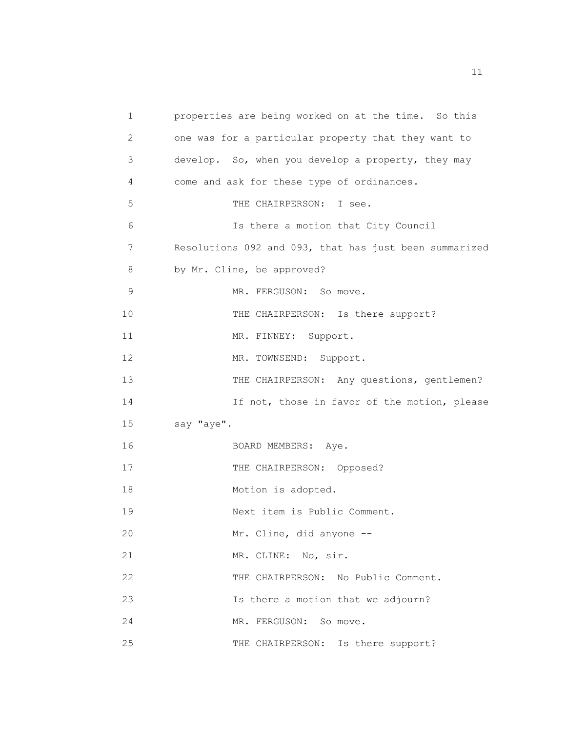1 properties are being worked on at the time. So this 2 one was for a particular property that they want to 3 develop. So, when you develop a property, they may 4 come and ask for these type of ordinances. 5 THE CHAIRPERSON: I see. 6 Is there a motion that City Council 7 Resolutions 092 and 093, that has just been summarized 8 by Mr. Cline, be approved? 9 MR. FERGUSON: So move. 10 THE CHAIRPERSON: Is there support? 11 MR. FINNEY: Support. 12 MR. TOWNSEND: Support. 13 THE CHAIRPERSON: Any questions, gentlemen? 14 14 If not, those in favor of the motion, please 15 say "aye". 16 BOARD MEMBERS: Aye. 17 THE CHAIRPERSON: Opposed? 18 Motion is adopted. 19 Next item is Public Comment. 20 Mr. Cline, did anyone -- 21 MR. CLINE: No, sir. 22 THE CHAIRPERSON: No Public Comment. 23 Is there a motion that we adjourn? 24 MR. FERGUSON: So move. 25 THE CHAIRPERSON: Is there support?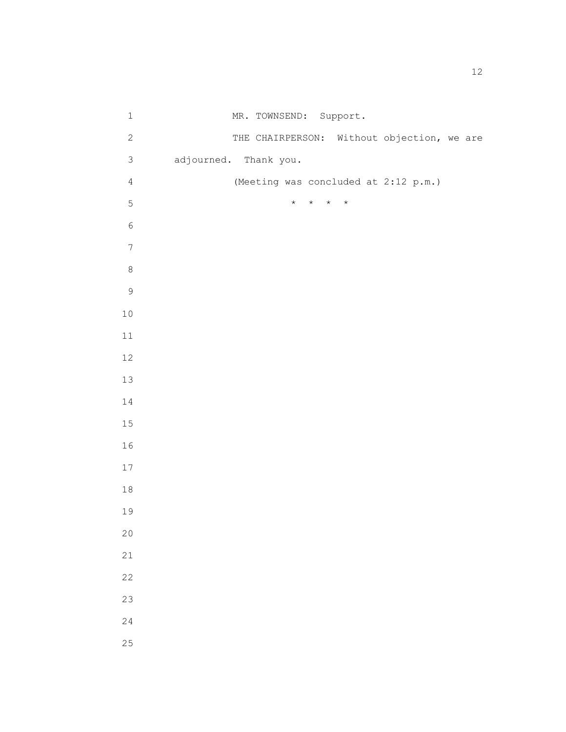| $\mathbf 1$      |                       | MR. TOWNSEND: Support.                     |         |  |
|------------------|-----------------------|--------------------------------------------|---------|--|
| $\sqrt{2}$       |                       | THE CHAIRPERSON: Without objection, we are |         |  |
| $\mathsf 3$      | adjourned. Thank you. |                                            |         |  |
| $\sqrt{4}$       |                       | (Meeting was concluded at 2:12 p.m.)       |         |  |
| $\mathsf S$      |                       | $\star$ $\quad$ $\star$ $\quad$ $\star$    | $\star$ |  |
| $\epsilon$       |                       |                                            |         |  |
| $\boldsymbol{7}$ |                       |                                            |         |  |
| $\,8\,$          |                       |                                            |         |  |
| $\mathsf 9$      |                       |                                            |         |  |
| $10$             |                       |                                            |         |  |
| 11               |                       |                                            |         |  |
| 12               |                       |                                            |         |  |
| 13               |                       |                                            |         |  |
| 14               |                       |                                            |         |  |
| 15               |                       |                                            |         |  |
| 16               |                       |                                            |         |  |
| $17\,$           |                       |                                            |         |  |
| $1\,8$           |                       |                                            |         |  |
| 19               |                       |                                            |         |  |
| 20               |                       |                                            |         |  |
| 21               |                       |                                            |         |  |
| 22               |                       |                                            |         |  |
| 23               |                       |                                            |         |  |
| 24               |                       |                                            |         |  |
| 25               |                       |                                            |         |  |